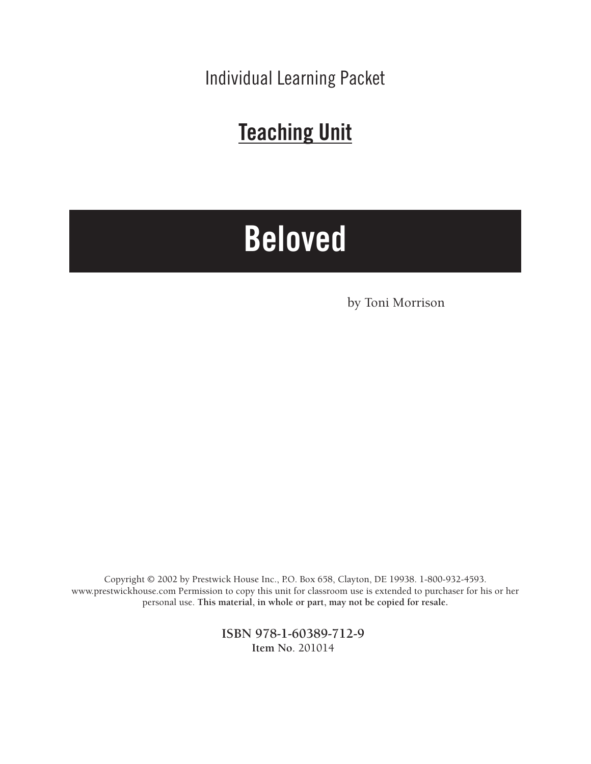Individual Learning Packet

# **Teaching Unit**

# **Beloved**

by Toni Morrison

Copyright © 2002 by Prestwick House Inc., P.O. Box 658, Clayton, DE 19938. 1-800-932-4593. www.prestwickhouse.com Permission to copy this unit for classroom use is extended to purchaser for his or her personal use. **This material, in whole or part, may not be copied for resale.**

> **ISBN 978-1-60389-712-9 Item No**. 201014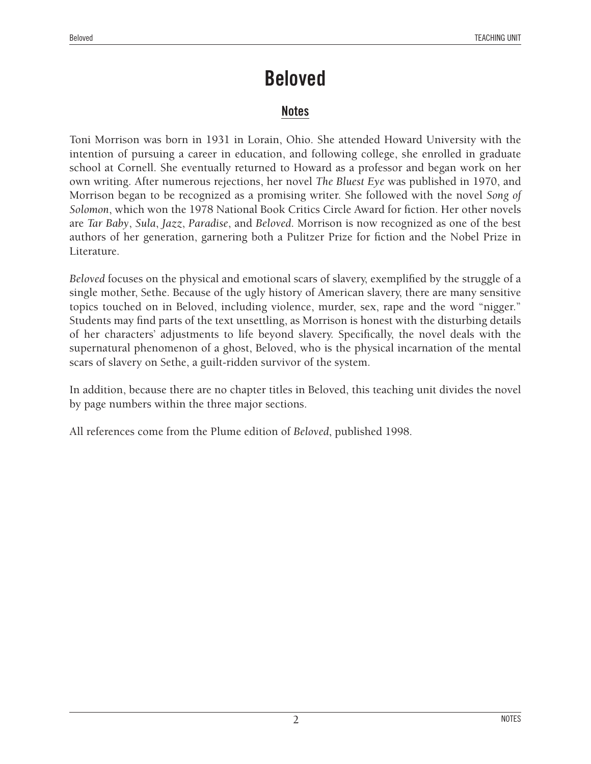#### **Notes**

Toni Morrison was born in 1931 in Lorain, Ohio. She attended Howard University with the intention of pursuing a career in education, and following college, she enrolled in graduate school at Cornell. She eventually returned to Howard as a professor and began work on her own writing. After numerous rejections, her novel *The Bluest Eye* was published in 1970, and Morrison began to be recognized as a promising writer. She followed with the novel *Song of Solomon*, which won the 1978 National Book Critics Circle Award for fiction. Her other novels are *Tar Baby*, *Sula*, *Jazz*, *Paradise*, and *Beloved*. Morrison is now recognized as one of the best authors of her generation, garnering both a Pulitzer Prize for fiction and the Nobel Prize in Literature.

*Beloved* focuses on the physical and emotional scars of slavery, exemplified by the struggle of a single mother, Sethe. Because of the ugly history of American slavery, there are many sensitive topics touched on in Beloved, including violence, murder, sex, rape and the word "nigger." Students may find parts of the text unsettling, as Morrison is honest with the disturbing details of her characters' adjustments to life beyond slavery. Specifically, the novel deals with the supernatural phenomenon of a ghost, Beloved, who is the physical incarnation of the mental scars of slavery on Sethe, a guilt-ridden survivor of the system.

In addition, because there are no chapter titles in Beloved, this teaching unit divides the novel by page numbers within the three major sections.

All references come from the Plume edition of *Beloved*, published 1998.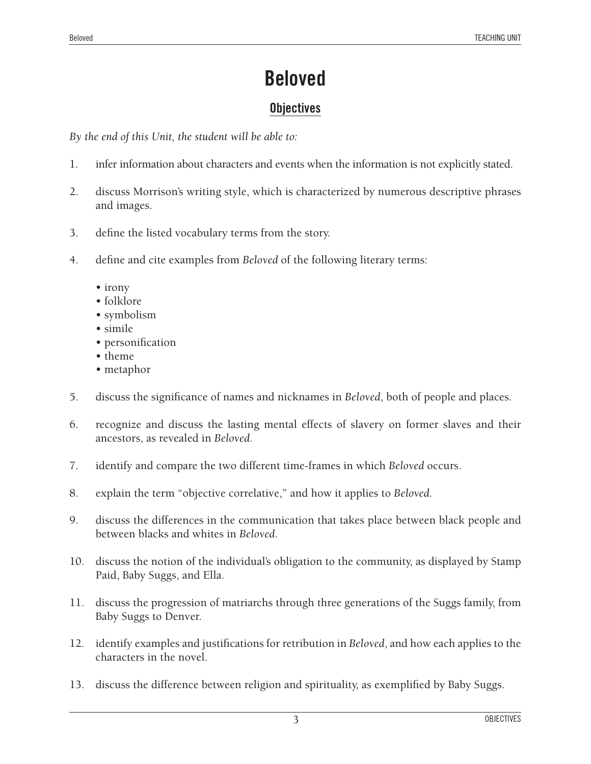### **Objectives**

*By the end of this Unit, the student will be able to:*

- 1. infer information about characters and events when the information is not explicitly stated.
- 2. discuss Morrison's writing style, which is characterized by numerous descriptive phrases and images.
- 3. define the listed vocabulary terms from the story.
- 4. define and cite examples from *Beloved* of the following literary terms:
	- irony
	- folklore
	- symbolism
	- simile
	- personification
	- theme
	- metaphor
- 5. discuss the significance of names and nicknames in *Beloved*, both of people and places.
- 6. recognize and discuss the lasting mental effects of slavery on former slaves and their ancestors, as revealed in *Beloved*.
- 7. identify and compare the two different time-frames in which *Beloved* occurs.
- 8. explain the term "objective correlative," and how it applies to *Beloved*.
- 9. discuss the differences in the communication that takes place between black people and between blacks and whites in *Beloved*.
- 10. discuss the notion of the individual's obligation to the community, as displayed by Stamp Paid, Baby Suggs, and Ella.
- 11. discuss the progression of matriarchs through three generations of the Suggs family, from Baby Suggs to Denver.
- 12. identify examples and justifications for retribution in *Beloved*, and how each applies to the characters in the novel.
- 13. discuss the difference between religion and spirituality, as exemplified by Baby Suggs.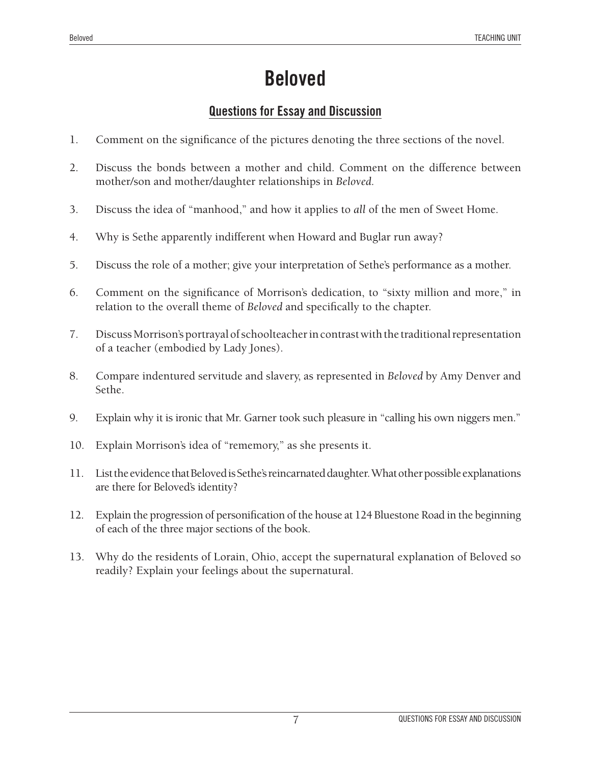### **Questions for Essay and Discussion**

- 1. Comment on the significance of the pictures denoting the three sections of the novel.
- 2. Discuss the bonds between a mother and child. Comment on the difference between mother/son and mother/daughter relationships in *Beloved*.
- 3. Discuss the idea of "manhood," and how it applies to *all* of the men of Sweet Home.
- 4. Why is Sethe apparently indifferent when Howard and Buglar run away?
- 5. Discuss the role of a mother; give your interpretation of Sethe's performance as a mother.
- 6. Comment on the significance of Morrison's dedication, to "sixty million and more," in relation to the overall theme of *Beloved* and specifically to the chapter.
- 7. Discuss Morrison's portrayal of schoolteacher in contrast with the traditional representation of a teacher (embodied by Lady Jones).
- 8. Compare indentured servitude and slavery, as represented in *Beloved* by Amy Denver and Sethe.
- 9. Explain why it is ironic that Mr. Garner took such pleasure in "calling his own niggers men."
- 10. Explain Morrison's idea of "rememory," as she presents it.
- 11. List the evidence that Beloved is Sethe's reincarnated daughter. What other possible explanations are there for Beloved's identity?
- 12. Explain the progression of personification of the house at 124 Bluestone Road in the beginning of each of the three major sections of the book.
- 13. Why do the residents of Lorain, Ohio, accept the supernatural explanation of Beloved so readily? Explain your feelings about the supernatural.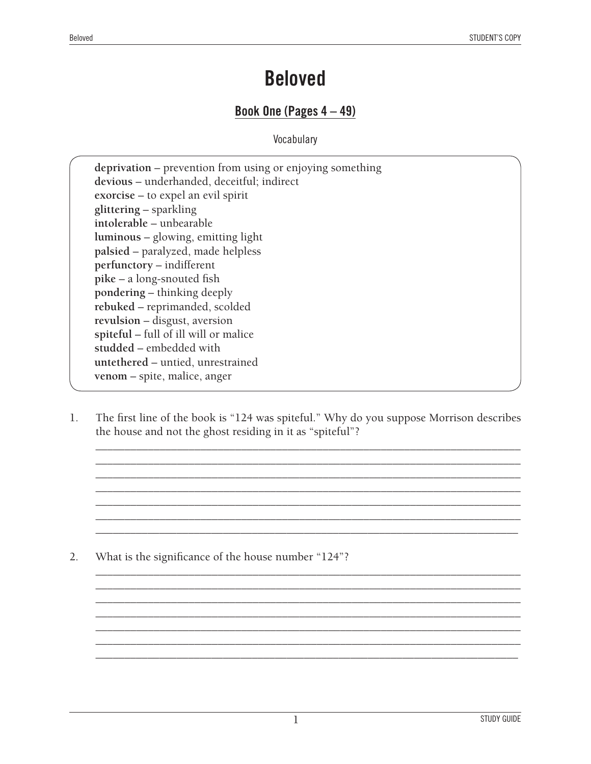#### **Book One (Pages 4 – 49)**

**Vocabulary** 

**deprivation** – prevention from using or enjoying something **devious** – underhanded, deceitful; indirect **exorcise** – to expel an evil spirit **glittering** – sparkling **intolerable** – unbearable **luminous** – glowing, emitting light **palsied** – paralyzed, made helpless **perfunctory** – indifferent **pike** – a long-snouted fish **pondering** – thinking deeply **rebuked** – reprimanded, scolded **revulsion** – disgust, aversion **spiteful** – full of ill will or malice **studded** – embedded with **untethered** – untied, unrestrained **venom** – spite, malice, anger

1. The first line of the book is "124 was spiteful." Why do you suppose Morrison describes the house and not the ghost residing in it as "spiteful"?

\_\_\_\_\_\_\_\_\_\_\_\_\_\_\_\_\_\_\_\_\_\_\_\_\_\_\_\_\_\_\_\_\_\_\_\_\_\_\_\_\_\_\_\_\_\_\_\_\_\_\_\_\_\_\_\_\_\_\_\_\_\_\_\_\_\_\_\_\_\_\_\_\_ \_\_\_\_\_\_\_\_\_\_\_\_\_\_\_\_\_\_\_\_\_\_\_\_\_\_\_\_\_\_\_\_\_\_\_\_\_\_\_\_\_\_\_\_\_\_\_\_\_\_\_\_\_\_\_\_\_\_\_\_\_\_\_\_\_\_\_\_\_\_\_\_\_ \_\_\_\_\_\_\_\_\_\_\_\_\_\_\_\_\_\_\_\_\_\_\_\_\_\_\_\_\_\_\_\_\_\_\_\_\_\_\_\_\_\_\_\_\_\_\_\_\_\_\_\_\_\_\_\_\_\_\_\_\_\_\_\_\_\_\_\_\_\_\_\_\_ \_\_\_\_\_\_\_\_\_\_\_\_\_\_\_\_\_\_\_\_\_\_\_\_\_\_\_\_\_\_\_\_\_\_\_\_\_\_\_\_\_\_\_\_\_\_\_\_\_\_\_\_\_\_\_\_\_\_\_\_\_\_\_\_\_\_\_\_\_\_\_\_\_ \_\_\_\_\_\_\_\_\_\_\_\_\_\_\_\_\_\_\_\_\_\_\_\_\_\_\_\_\_\_\_\_\_\_\_\_\_\_\_\_\_\_\_\_\_\_\_\_\_\_\_\_\_\_\_\_\_\_\_\_\_\_\_\_\_\_\_\_\_\_\_\_\_ \_\_\_\_\_\_\_\_\_\_\_\_\_\_\_\_\_\_\_\_\_\_\_\_\_\_\_\_\_\_\_\_\_\_\_\_\_\_\_\_\_\_\_\_\_\_\_\_\_\_\_\_\_\_\_\_\_\_\_\_\_\_\_\_\_\_\_\_\_\_\_\_\_ \_\_\_\_\_\_\_\_\_\_\_\_\_\_\_\_\_\_\_\_\_\_\_\_\_\_\_\_\_\_\_\_\_\_\_\_\_\_\_\_\_\_\_\_\_\_\_\_\_\_\_\_\_\_\_\_\_\_\_\_\_\_\_\_\_\_\_\_\_\_\_\_\_

\_\_\_\_\_\_\_\_\_\_\_\_\_\_\_\_\_\_\_\_\_\_\_\_\_\_\_\_\_\_\_\_\_\_\_\_\_\_\_\_\_\_\_\_\_\_\_\_\_\_\_\_\_\_\_\_\_\_\_\_\_\_\_\_\_\_\_\_\_\_\_\_\_ \_\_\_\_\_\_\_\_\_\_\_\_\_\_\_\_\_\_\_\_\_\_\_\_\_\_\_\_\_\_\_\_\_\_\_\_\_\_\_\_\_\_\_\_\_\_\_\_\_\_\_\_\_\_\_\_\_\_\_\_\_\_\_\_\_\_\_\_\_\_\_\_\_ \_\_\_\_\_\_\_\_\_\_\_\_\_\_\_\_\_\_\_\_\_\_\_\_\_\_\_\_\_\_\_\_\_\_\_\_\_\_\_\_\_\_\_\_\_\_\_\_\_\_\_\_\_\_\_\_\_\_\_\_\_\_\_\_\_\_\_\_\_\_\_\_\_ \_\_\_\_\_\_\_\_\_\_\_\_\_\_\_\_\_\_\_\_\_\_\_\_\_\_\_\_\_\_\_\_\_\_\_\_\_\_\_\_\_\_\_\_\_\_\_\_\_\_\_\_\_\_\_\_\_\_\_\_\_\_\_\_\_\_\_\_\_\_\_\_\_ \_\_\_\_\_\_\_\_\_\_\_\_\_\_\_\_\_\_\_\_\_\_\_\_\_\_\_\_\_\_\_\_\_\_\_\_\_\_\_\_\_\_\_\_\_\_\_\_\_\_\_\_\_\_\_\_\_\_\_\_\_\_\_\_\_\_\_\_\_\_\_\_\_ \_\_\_\_\_\_\_\_\_\_\_\_\_\_\_\_\_\_\_\_\_\_\_\_\_\_\_\_\_\_\_\_\_\_\_\_\_\_\_\_\_\_\_\_\_\_\_\_\_\_\_\_\_\_\_\_\_\_\_\_\_\_\_\_\_\_\_\_\_\_\_\_\_ \_\_\_\_\_\_\_\_\_\_\_\_\_\_\_\_\_\_\_\_\_\_\_\_\_\_\_\_\_\_\_\_\_\_\_\_\_\_\_\_\_\_\_\_\_\_\_\_\_\_\_\_\_\_\_\_\_\_\_\_\_\_\_\_\_\_\_\_\_\_\_\_\_

2. What is the significance of the house number "124"?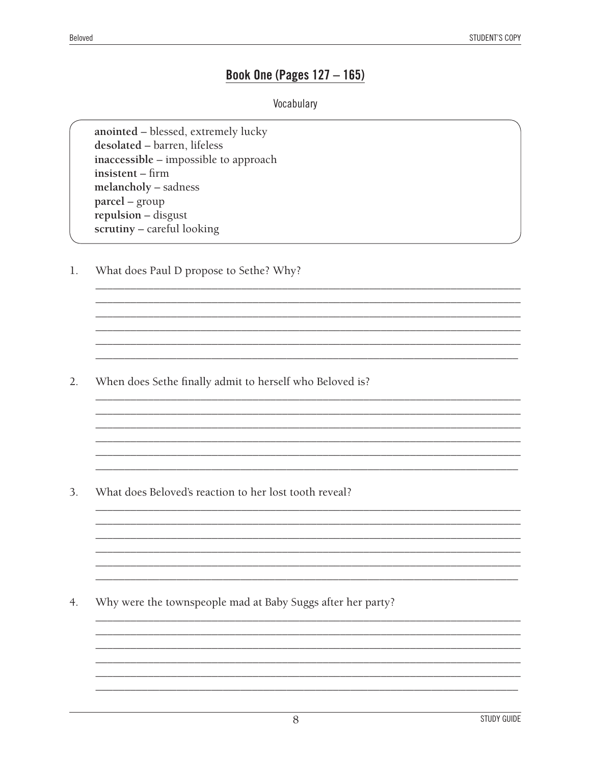#### **Book One (Pages 127 - 165)**

#### Vocabulary

<u> 1980 - Jan James James Barnett, fransk politik (d. 1980)</u>

anointed - blessed, extremely lucky desolated - barren, lifeless inaccessible – impossible to approach insistent - firm melancholy - sadness parcel – group repulsion - disgust scrutiny - careful looking

What does Paul D propose to Sethe? Why? 1.

 $2.$ When does Sethe finally admit to herself who Beloved is?

3. What does Beloved's reaction to her lost tooth reveal?

Why were the townspeople mad at Baby Suggs after her party? 4.